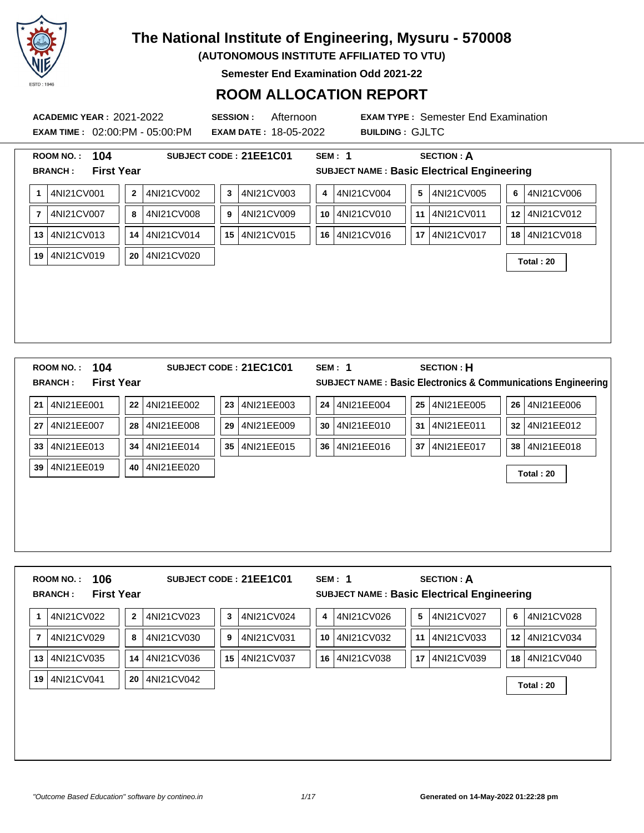

**(AUTONOMOUS INSTITUTE AFFILIATED TO VTU)**

**Semester End Examination Odd 2021-22**

### **ROOM ALLOCATION REPORT**

**EXAM TIME :** 02:00:PM - 05:00:PM **EXAM DATE :** 18-05-2022 **BUILDING :** GJLTC

**ACADEMIC YEAR :** 2021-2022 **SESSION :** Afternoon **EXAM TYPE :** Semester End Examination

|                | <b>ROOM NO.:</b>                   | 104                      |              |            |    | SUBJECT CODE: 21EE1C01 |    | SEM: 1        |                 | <b>SECTION: A</b>                                                      |                 |                                                                         |
|----------------|------------------------------------|--------------------------|--------------|------------|----|------------------------|----|---------------|-----------------|------------------------------------------------------------------------|-----------------|-------------------------------------------------------------------------|
|                | <b>BRANCH:</b>                     | <b>First Year</b>        |              |            |    |                        |    |               |                 | SUBJECT NAME : Basic Electrical Engineering                            |                 |                                                                         |
| 1              | 4NI21CV001                         |                          | $\mathbf{2}$ | 4NI21CV002 | 3  | 4NI21CV003             | 4  | 4NI21CV004    | 5               | 4NI21CV005                                                             | 6               | 4NI21CV006                                                              |
| $\overline{7}$ | 4NI21CV007                         |                          | 8            | 4NI21CV008 | 9  | 4NI21CV009             | 10 | 4NI21CV010    | 11 <sup>1</sup> | 4NI21CV011                                                             |                 | 12 4NI21CV012                                                           |
| 13             | 4NI21CV013                         |                          | 14           | 4NI21CV014 | 15 | 4NI21CV015             | 16 | 4NI21CV016    | 17              | 4NI21CV017                                                             | 18              | 4NI21CV018                                                              |
| 19             | 4NI21CV019                         |                          | 20           | 4NI21CV020 |    |                        |    |               |                 |                                                                        |                 | Total: 20                                                               |
|                |                                    |                          |              |            |    |                        |    |               |                 |                                                                        |                 |                                                                         |
|                |                                    |                          |              |            |    |                        |    |               |                 |                                                                        |                 |                                                                         |
|                |                                    |                          |              |            |    |                        |    |               |                 |                                                                        |                 |                                                                         |
|                |                                    |                          |              |            |    |                        |    |               |                 |                                                                        |                 |                                                                         |
|                |                                    |                          |              |            |    |                        |    |               |                 |                                                                        |                 |                                                                         |
|                | <b>ROOM NO.:</b>                   | 104                      |              |            |    | SUBJECT CODE: 21EC1C01 |    | <b>SEM: 1</b> |                 | <b>SECTION: H</b>                                                      |                 |                                                                         |
|                |                                    |                          |              |            |    |                        |    |               |                 |                                                                        |                 |                                                                         |
|                | <b>BRANCH:</b>                     | <b>First Year</b>        |              |            |    |                        |    |               |                 |                                                                        |                 | <b>SUBJECT NAME: Basic Electronics &amp; Communications Engineering</b> |
| 21             | 4NI21EE001                         |                          | ${\bf 22}$   | 4NI21EE002 | 23 | 4NI21EE003             | 24 | 4NI21EE004    |                 | 25 4NI21EE005                                                          |                 | 26 4NI21EE006                                                           |
| 27             | 4NI21EE007                         |                          | 28           | 4NI21EE008 | 29 | 4NI21EE009             | 30 | 4NI21EE010    | 31              | 4NI21EE011                                                             | 32 <sub>1</sub> | 4NI21EE012                                                              |
| 33             | 4NI21EE013                         |                          | 34           | 4NI21EE014 | 35 | 4NI21EE015             | 36 | 4NI21EE016    | 37 <sup>1</sup> | 4NI21EE017                                                             | 38              | 4NI21EE018                                                              |
| 39             | 4NI21EE019                         |                          | 40           | 4NI21EE020 |    |                        |    |               |                 |                                                                        |                 |                                                                         |
|                |                                    |                          |              |            |    |                        |    |               |                 |                                                                        |                 | Total: 20                                                               |
|                |                                    |                          |              |            |    |                        |    |               |                 |                                                                        |                 |                                                                         |
|                |                                    |                          |              |            |    |                        |    |               |                 |                                                                        |                 |                                                                         |
|                |                                    |                          |              |            |    |                        |    |               |                 |                                                                        |                 |                                                                         |
|                |                                    |                          |              |            |    |                        |    |               |                 |                                                                        |                 |                                                                         |
|                |                                    |                          |              |            |    |                        |    |               |                 |                                                                        |                 |                                                                         |
|                | <b>ROOM NO.:</b><br><b>BRANCH:</b> | 106<br><b>First Year</b> |              |            |    | SUBJECT CODE: 21EE1C01 |    | <b>SEM: 1</b> |                 | <b>SECTION: A</b><br><b>SUBJECT NAME: Basic Electrical Engineering</b> |                 |                                                                         |

| 14N121CV022   | 14N121CV023<br>2 | 14N121CV024<br>-3 | 4 14N121CV026 | 14NI21CV027<br>G | 6<br>14N121CV028 |
|---------------|------------------|-------------------|---------------|------------------|------------------|
| 4NI21CV029    | 4NI21CV030<br>8  | 14NI21CV031<br>9  | 10 4NI21CV032 | 11 4NI21CV033    | 12 4NI21CV034    |
| 13 4NI21CV035 | 14 4NI21CV036    | 15 4NI21CV037     | 16 4NI21CV038 | 17 4NI21CV039    | 18 4NI21CV040    |
| 19 4NI21CV041 | 20 4NI21CV042    |                   |               |                  | Total: 20        |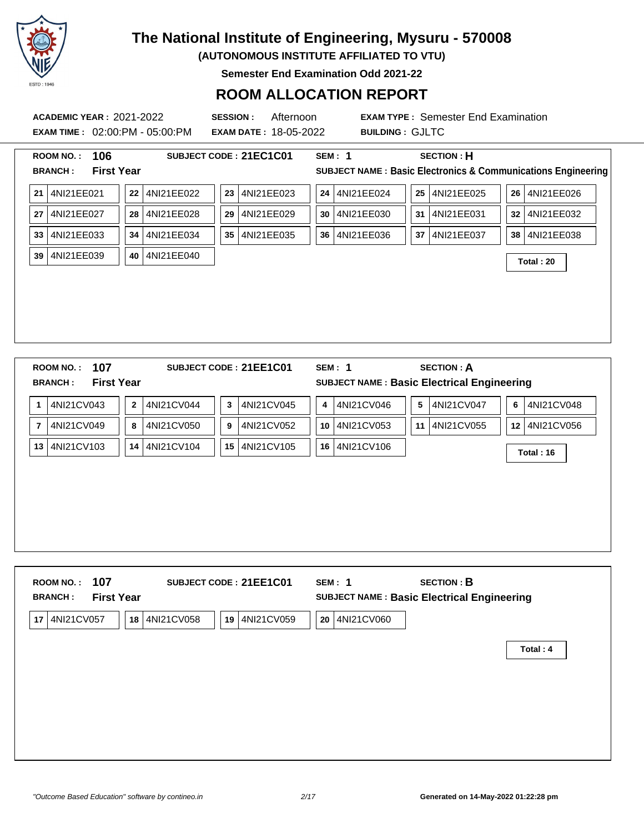

**(AUTONOMOUS INSTITUTE AFFILIATED TO VTU)**

**Semester End Examination Odd 2021-22**

### **ROOM ALLOCATION REPORT**

**ACADEMIC YEAR :** 2021-2022 **SESSION :** Afternoon **EXAM TYPE :** Semester End Examination **EXAM TIME :** 02:00:PM - 05:00:PM **EXAM DATE :** 18-05-2022 **BUILDING :** GJLTC **ROOM NO. : 106 SUBJECT CODE : 21EC1C01 SEM : 1 SECTION : H BRANCH : First Year SUBJECT NAME : Basic Electronics & Communications Engineering 21** 4NI21EE021 **22** 4NI21EE022 **23** 4NI21EE023 **24** 4NI21EE024 **25** 4NI21EE025 **26** 4NI21EE026 **27** 4NI21EE027 **28** 4NI21EE028 **29** 4NI21EE029 **30** 4NI21EE030 **31** 4NI21EE031 **32** 4NI21EE032 **33** 4NI21EE033 **34** 4NI21EE034 **35** 4NI21EE035 **36** 4NI21EE036 **37** 4NI21EE037 **38** 4NI21EE038 **<sup>39</sup>** 4NI21EE039 **<sup>40</sup>** 4NI21EE040 **Total : 20 ROOM NO. : 107 SUBJECT CODE : 21EE1C01 SEM : 1 SECTION : A BRANCH : First Year SUBJECT NAME : Basic Electrical Engineering 1** 4NI21CV043 **2** 4NI21CV044 **3** 4NI21CV045 **4** 4NI21CV046 **5** 4NI21CV047 **6** 4NI21CV048

| 4NI21CV103<br>4NI21CV105<br>4NI21CV104<br>4NI21CV106 <br>14<br>15 <sup>1</sup><br>16 l<br>13<br>Total: 16 | 4NI21CV049<br>7 | 4NI21CV050<br>8 | 4NI21CV052<br>9 | 10 4NI21CV053<br>11 | 4NI21CV055 | 12 4NI21CV056 |
|-----------------------------------------------------------------------------------------------------------|-----------------|-----------------|-----------------|---------------------|------------|---------------|
|                                                                                                           |                 |                 |                 |                     |            |               |
|                                                                                                           |                 |                 |                 |                     |            |               |
|                                                                                                           |                 |                 |                 |                     |            |               |
|                                                                                                           |                 |                 |                 |                     |            |               |
|                                                                                                           |                 |                 |                 |                     |            |               |
|                                                                                                           |                 |                 |                 |                     |            |               |

| 107<br><b>ROOM NO.:</b><br><b>First Year</b><br><b>BRANCH:</b> | SUBJECT CODE: 21EE1C01         | SEM: 1           | <b>SECTION: B</b><br>SUBJECT NAME : Basic Electrical Engineering |
|----------------------------------------------------------------|--------------------------------|------------------|------------------------------------------------------------------|
| 4NI21CV057<br>17<br>18                                         | 4NI21CV058<br>4NI21CV059<br>19 | 4NI21CV060<br>20 |                                                                  |
|                                                                |                                |                  | Total: 4                                                         |
|                                                                |                                |                  |                                                                  |
|                                                                |                                |                  |                                                                  |
|                                                                |                                |                  |                                                                  |
|                                                                |                                |                  |                                                                  |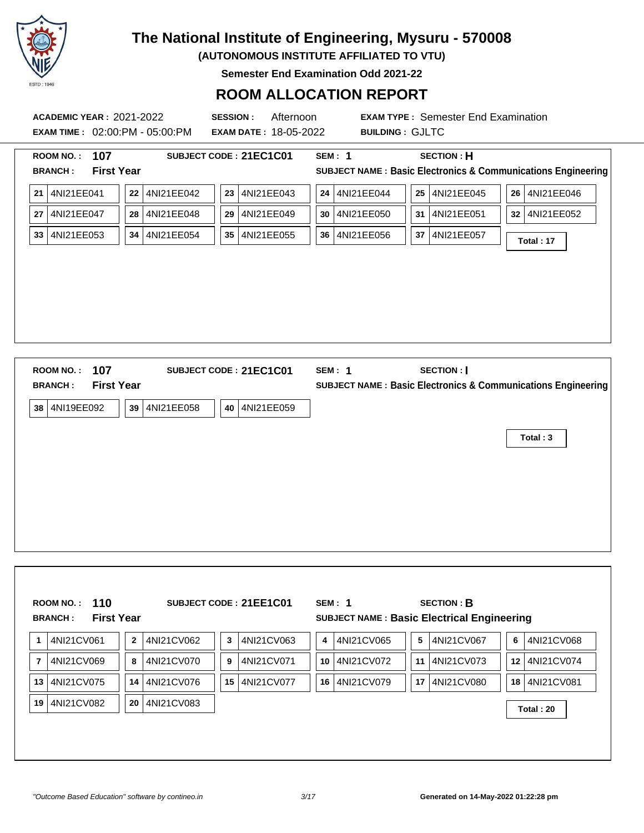

**(AUTONOMOUS INSTITUTE AFFILIATED TO VTU)**

**Semester End Examination Odd 2021-22**

| <b>ACADEMIC YEAR: 2021-2022</b><br><b>EXAM TIME : 02:00:PM - 05:00:PM</b> | <b>SESSION:</b><br><b>EXAM DATE: 18-05-2022</b> | Afternoon<br><b>EXAM TYPE: Semester End Examination</b><br><b>BUILDING: GJLTC</b>                             |
|---------------------------------------------------------------------------|-------------------------------------------------|---------------------------------------------------------------------------------------------------------------|
| 107<br><b>ROOM NO.:</b><br><b>First Year</b><br><b>BRANCH:</b>            | SUBJECT CODE: 21EC1C01                          | <b>SEM: 1</b><br><b>SECTION: H</b><br><b>SUBJECT NAME: Basic Electronics &amp; Communications Engineering</b> |
| 21 4NI21EE041<br>22 4NI21EE042                                            | 23 4NI21EE043                                   | 24 4NI21EE044<br>25 4NI21EE045<br>26 4NI21EE046                                                               |
| 4NI21EE047<br>4NI21EE048<br>28<br>27                                      | 29 4NI21EE049                                   | 30   4NI21EE050<br>31 4NI21EE051<br>32 4NI21EE052                                                             |
| 4NI21EE053<br>34   4NI21EE054<br>33                                       | 35   4NI21EE055                                 | 36   4NI21EE056<br>37   4NI21EE057<br>Total: 17                                                               |
|                                                                           |                                                 |                                                                                                               |
| 107<br><b>ROOM NO.:</b><br><b>First Year</b><br><b>BRANCH:</b>            | SUBJECT CODE: 21EC1C01                          | <b>SEM: 1</b><br>SECTION :  <br><b>SUBJECT NAME: Basic Electronics &amp; Communications Engineering</b>       |
| 38 4NI19EE092<br>39<br>4NI21EE058                                         | 40 4NI21EE059                                   |                                                                                                               |
|                                                                           |                                                 | Total: 3                                                                                                      |
|                                                                           |                                                 |                                                                                                               |

|                | 110<br><b>ROOM NO.:</b><br><b>First Year</b><br><b>BRANCH:</b> |                |            |    | SUBJECT CODE: 21EE1C01 |                 | SEM: 1<br>SUBJECT NAME : Basic Electrical Engineering |    | <b>SECTION: B</b> |    |            |
|----------------|----------------------------------------------------------------|----------------|------------|----|------------------------|-----------------|-------------------------------------------------------|----|-------------------|----|------------|
| -1             | 4NI21CV061                                                     | $\overline{2}$ | 4NI21CV062 | 3  | 4NI21CV063             | 4               | 4NI21CV065                                            | 5  | 4NI21CV067        | 6  | 4NI21CV068 |
| $\overline{7}$ | 4NI21CV069                                                     | 8              | 4NI21CV070 | 9  | 4NI21CV071             | 10 <sup>1</sup> | 4NI21CV072                                            | 11 | 4NI21CV073        | 12 | 4NI21CV074 |
| 13             | 4NI21CV075                                                     | 14             | 4NI21CV076 | 15 | 4NI21CV077             | 16              | 4NI21CV079                                            | 17 | 4NI21CV080        | 18 | 4NI21CV081 |
| 19             | 4NI21CV082                                                     | 20             | 4NI21CV083 |    |                        |                 |                                                       |    |                   |    | Total: 20  |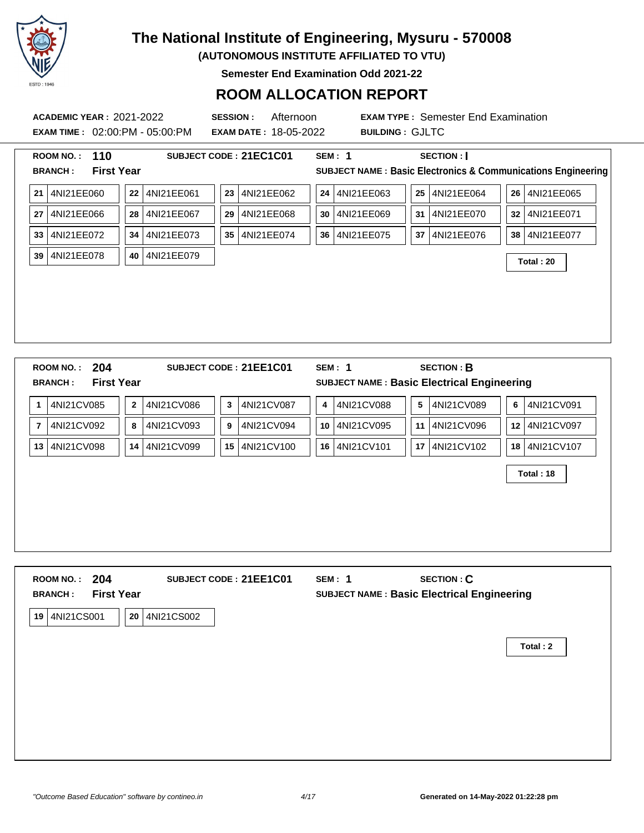

**(AUTONOMOUS INSTITUTE AFFILIATED TO VTU)**

**Semester End Examination Odd 2021-22**

### **ROOM ALLOCATION REPORT**

**ACADEMIC YEAR :** 2021-2022 **SESSION :** Afternoon **EXAM TYPE :** Semester End Examination **EXAM TIME :** 02:00:PM - 05:00:PM **EXAM DATE :** 18-05-2022 **BUILDING :** GJLTC **ROOM NO. : 110 SUBJECT CODE : 21EC1C01 SEM : 1 SECTION : I BRANCH : First Year SUBJECT NAME : Basic Electronics & Communications Engineering 21** 4NI21EE060 **22** 4NI21EE061 **23** 4NI21EE062 **24** 4NI21EE063 **25** 4NI21EE064 **26** 4NI21EE065 **27** 4NI21EE066 **28** 4NI21EE067 **29** 4NI21EE068 **30** 4NI21EE069 **31** 4NI21EE070 **32** 4NI21EE071 **33** 4NI21EE072 **34** 4NI21EE073 **35** 4NI21EE074 **36** 4NI21EE075 **37** 4NI21EE076 **38** 4NI21EE077 **<sup>39</sup>** 4NI21EE078 **<sup>40</sup>** 4NI21EE079 **Total : 20 ROOM NO. : 204 SUBJECT CODE : 21EE1C01 SEM : 1 SECTION : B BRANCH : First Year SUBJECT NAME : Basic Electrical Engineering 1** 4NI21CV085 **2** 4NI21CV086 **3** 4NI21CV087 **4** 4NI21CV088 **5** 4NI21CV089 **6** 4NI21CV091 **7** 4NI21CV092 **8** 4NI21CV093 **9** 4NI21CV094 **10** 4NI21CV095 **11** 4NI21CV096 **12** 4NI21CV097 **13** 4NI21CV098 **14** 4NI21CV099 **15** 4NI21CV100 **16** 4NI21CV101 **17** 4NI21CV102 **18** 4NI21CV107 **Total : 18**

| 204<br><b>ROOM NO.:</b><br><b>First Year</b><br><b>BRANCH:</b> | SUBJECT CODE: 21EE1C01 | <b>SEM: 1</b> | <b>SECTION: C</b><br>SUBJECT NAME : Basic Electrical Engineering |  |
|----------------------------------------------------------------|------------------------|---------------|------------------------------------------------------------------|--|
| 4NI21CS001<br>20<br>19                                         | 4NI21CS002             |               |                                                                  |  |
|                                                                |                        |               | Total: 2                                                         |  |
|                                                                |                        |               |                                                                  |  |
|                                                                |                        |               |                                                                  |  |
|                                                                |                        |               |                                                                  |  |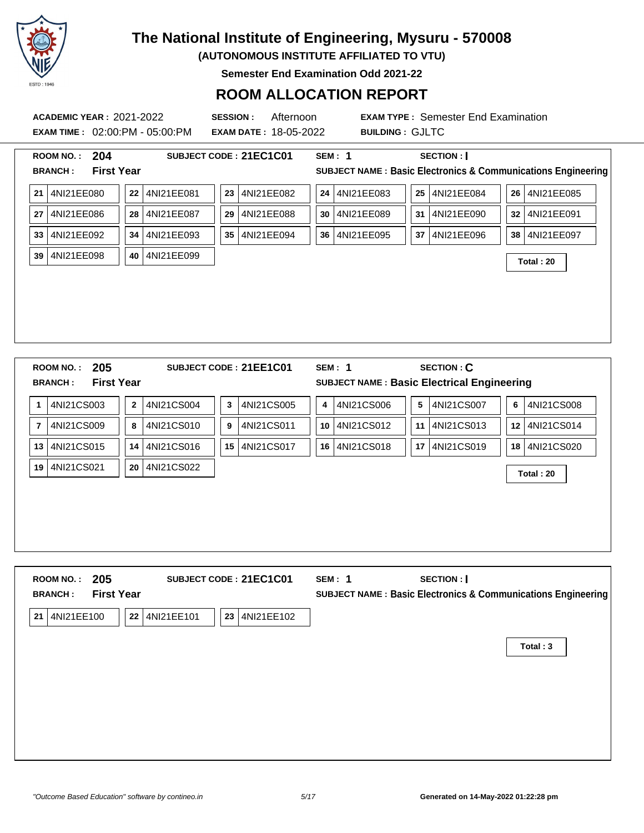

**(AUTONOMOUS INSTITUTE AFFILIATED TO VTU)**

**Semester End Examination Odd 2021-22**

| <b>ACADEMIC YEAR : 2021-2022</b><br><b>EXAM TIME: 02:00:PM - 05:00:PM</b> |                            | <b>SESSION:</b><br><b>EXAM DATE: 18-05-2022</b> | Afternoon<br><b>BUILDING: GJLTC</b> | <b>EXAM TYPE: Semester End Examination</b>                             |                                                                         |
|---------------------------------------------------------------------------|----------------------------|-------------------------------------------------|-------------------------------------|------------------------------------------------------------------------|-------------------------------------------------------------------------|
| ROOM NO.: 204                                                             |                            | SUBJECT CODE: 21EC1C01                          | <b>SEM: 1</b>                       | <b>SECTION:</b>                                                        |                                                                         |
| <b>First Year</b><br><b>BRANCH:</b>                                       |                            |                                                 |                                     |                                                                        | <b>SUBJECT NAME: Basic Electronics &amp; Communications Engineering</b> |
| 4NI21EE080<br>21                                                          | 22<br>4NI21EE081           | 4NI21EE082<br>23                                | 4NI21EE083<br>24                    | 25<br>4NI21EE084                                                       | 26 4NI21EE085                                                           |
| 27 4NI21EE086                                                             | 4NI21EE087<br>28           | 4NI21EE088<br>29                                | 4NI21EE089<br>30                    | 31   4NI21EE090                                                        | 32 4NI21EE091                                                           |
| 33 4NI21EE092                                                             | 4NI21EE093<br>34           | 4NI21EE094<br>35 <sub>1</sub>                   | 4NI21EE095<br>36                    | 37   4NI21EE096                                                        | 38   4NI21EE097                                                         |
| 39 4NI21EE098                                                             | 4NI21EE099<br>40           |                                                 |                                     |                                                                        | Total: 20                                                               |
|                                                                           |                            |                                                 |                                     |                                                                        |                                                                         |
|                                                                           |                            |                                                 |                                     |                                                                        |                                                                         |
|                                                                           |                            |                                                 |                                     |                                                                        |                                                                         |
|                                                                           |                            |                                                 |                                     |                                                                        |                                                                         |
|                                                                           |                            |                                                 |                                     |                                                                        |                                                                         |
| 205<br><b>ROOM NO.:</b><br><b>First Year</b><br><b>BRANCH:</b>            |                            | SUBJECT CODE: 21EE1C01                          | <b>SEM: 1</b>                       | <b>SECTION: C</b><br><b>SUBJECT NAME: Basic Electrical Engineering</b> |                                                                         |
| 4NI21CS003<br>1                                                           | 4NI21CS004<br>$\mathbf{2}$ | 4NI21CS005<br>3                                 | 4NI21CS006<br>4                     | 5<br>4NI21CS007                                                        | 4NI21CS008<br>6                                                         |
| 4NI21CS009<br>$\overline{7}$                                              | 4NI21CS010<br>8            | 4NI21CS011<br>9                                 | 4NI21CS012<br>10                    | 11 4NI21CS013                                                          | 12 4NI21CS014                                                           |
| 13 4NI21CS015                                                             | 4NI21CS016<br>14           | 15 4NI21CS017                                   | 4NI21CS018<br>16                    | 17 4NI21CS019                                                          | 18 4NI21CS020                                                           |
| 19 4NI21CS021                                                             | 20 4NI21CS022              |                                                 |                                     |                                                                        |                                                                         |
|                                                                           |                            |                                                 |                                     |                                                                        | Total: 20                                                               |
|                                                                           |                            |                                                 |                                     |                                                                        |                                                                         |
|                                                                           |                            |                                                 |                                     |                                                                        |                                                                         |

| ROOM NO.: 205<br><b>First Year</b><br><b>BRANCH:</b> | SUBJECT CODE: 21EC1C01         | SECTION :  <br>SEM: 1<br>SUBJECT NAME : Basic Electronics & Communications Engineering |
|------------------------------------------------------|--------------------------------|----------------------------------------------------------------------------------------|
| 4NI21EE100<br>22<br>21                               | 4NI21EE101<br>23<br>4NI21EE102 |                                                                                        |
|                                                      |                                | Total: 3                                                                               |
|                                                      |                                |                                                                                        |
|                                                      |                                |                                                                                        |
|                                                      |                                |                                                                                        |
|                                                      |                                |                                                                                        |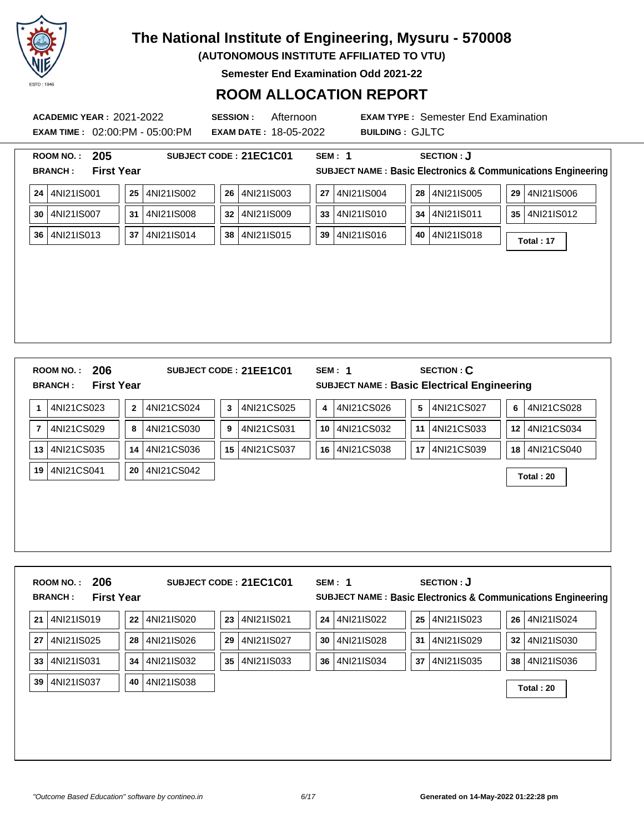

**(AUTONOMOUS INSTITUTE AFFILIATED TO VTU)**

**Semester End Examination Odd 2021-22**

### **ROOM ALLOCATION REPORT**

**ACADEMIC YEAR :** 2021-2022 **SESSION :** Afternoon **EXAM TYPE :** Semester End Examination **EXAM TIME :** 02:00:PM - 05:00:PM **EXAM DATE :** 18-05-2022 **BUILDING :** GJLTC

|                | 205<br><b>ROOM NO.:</b>                                        |             |               |    | SUBJECT CODE: 21EC1C01 |            | <b>SEM: 1</b> | <b>SECTION: J</b>                                                |                                                                         |
|----------------|----------------------------------------------------------------|-------------|---------------|----|------------------------|------------|---------------|------------------------------------------------------------------|-------------------------------------------------------------------------|
|                | <b>First Year</b><br><b>BRANCH:</b>                            |             |               |    |                        |            |               |                                                                  | <b>SUBJECT NAME: Basic Electronics &amp; Communications Engineering</b> |
| ${\bf 24}$     | 4NI21IS001                                                     | 25          | 4NI21IS002    | 26 | 4NI21IS003             | ${\bf 27}$ | 4NI21IS004    | 4NI21IS005<br>28                                                 | 4NI21IS006<br>29                                                        |
| 30             | 4NI21IS007                                                     | 31          | 4NI21IS008    | 32 | 4NI21IS009             | 33         | 4NI21IS010    | 4NI21IS011<br>34                                                 | 4NI21IS012<br>35                                                        |
| 36             | 4NI21IS013                                                     | 37          | 4NI21IS014    | 38 | 4NI21IS015             | 39         | 4NI21IS016    | 4NI21IS018<br>40                                                 | Total: 17                                                               |
|                |                                                                |             |               |    |                        |            |               |                                                                  |                                                                         |
|                |                                                                |             |               |    |                        |            |               |                                                                  |                                                                         |
|                |                                                                |             |               |    |                        |            |               |                                                                  |                                                                         |
|                |                                                                |             |               |    |                        |            |               |                                                                  |                                                                         |
|                |                                                                |             |               |    |                        |            |               |                                                                  |                                                                         |
|                |                                                                |             |               |    |                        |            |               |                                                                  |                                                                         |
|                | 206<br><b>ROOM NO.:</b><br><b>First Year</b><br><b>BRANCH:</b> |             |               |    | SUBJECT CODE: 21EE1C01 |            | <b>SEM: 1</b> | <b>SECTION: C</b><br>SUBJECT NAME : Basic Electrical Engineering |                                                                         |
|                |                                                                |             |               |    |                        |            |               |                                                                  |                                                                         |
| 1              | 4NI21CS023                                                     | $\mathbf 2$ | 4NI21CS024    | 3  | 4NI21CS025             | 4          | 4NI21CS026    | 5<br>4NI21CS027                                                  | 6<br>4NI21CS028                                                         |
| $\overline{7}$ | 4NI21CS029                                                     | 8           | 4NI21CS030    | 9  | 4NI21CS031             | 10         | 4NI21CS032    | 4NI21CS033<br>11                                                 | 4NI21CS034<br>12                                                        |
| 13             | 4NI21CS035                                                     | 14          | 4NI21CS036    | 15 | 4NI21CS037             | 16         | 4NI21CS038    | 4NI21CS039<br>17                                                 | 4NI21CS040<br>18                                                        |
| 19             | 4NI21CS041                                                     | 20          | 4NI21CS042    |    |                        |            |               |                                                                  | Total: 20                                                               |
|                |                                                                |             |               |    |                        |            |               |                                                                  |                                                                         |
|                |                                                                |             |               |    |                        |            |               |                                                                  |                                                                         |
|                |                                                                |             |               |    |                        |            |               |                                                                  |                                                                         |
|                |                                                                |             |               |    |                        |            |               |                                                                  |                                                                         |
|                |                                                                |             |               |    |                        |            |               |                                                                  |                                                                         |
|                | 206<br>ROOM NO.:<br><b>First Year</b><br><b>BRANCH:</b>        |             |               |    | SUBJECT CODE: 21EC1C01 |            | SEM: 1        | <b>SECTION: J</b>                                                | <b>SUBJECT NAME: Basic Electronics &amp; Communications Engineering</b> |
|                |                                                                |             |               |    |                        |            |               |                                                                  |                                                                         |
| 21             | 4NI21IS019                                                     | 22          | 4NI21IS020    | 23 | 4NI21IS021             | 24         | 4NI21IS022    | 25 4NI21IS023                                                    | 4NI21IS024<br>26                                                        |
|                | 27 4NI21IS025                                                  |             | 28 4NI21IS026 | 29 | 4NI21IS027             |            | 30 4NI21IS028 | 31 4NI21IS029                                                    | 32 4NI21IS030                                                           |

**33** 4NI21IS031 **34** 4NI21IS032 **35** 4NI21IS033 **36** 4NI21IS034 **37** 4NI21IS035 **38** 4NI21IS036

**<sup>39</sup>** 4NI21IS037 **<sup>40</sup>** 4NI21IS038 **Total : 20**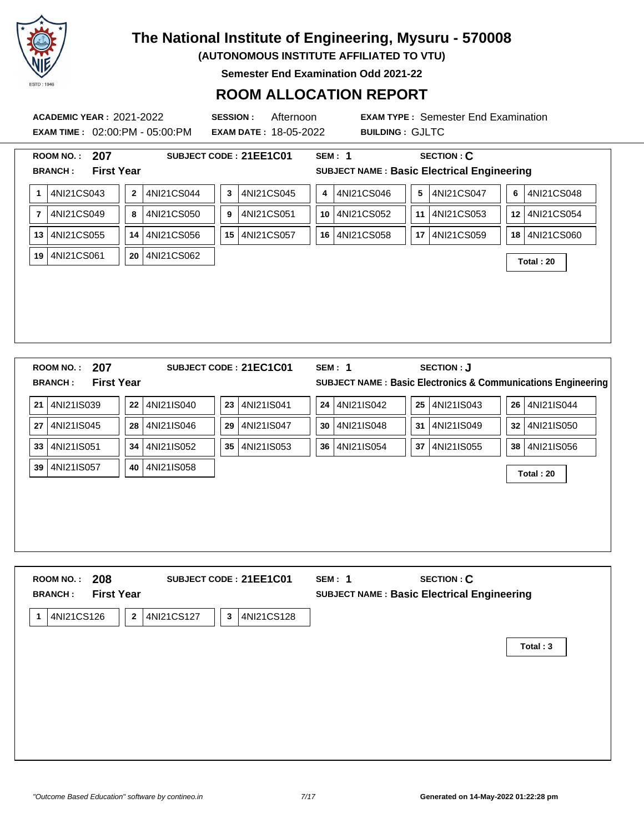

**(AUTONOMOUS INSTITUTE AFFILIATED TO VTU)**

**Semester End Examination Odd 2021-22**

### **ROOM ALLOCATION REPORT**

**EXAM TIME :** 02:00:PM - 05:00:PM **EXAM DATE :** 18-05-2022 **BUILDING :** GJLTC

**ACADEMIC YEAR :** 2021-2022 **SESSION :** Afternoon **EXAM TYPE :** Semester End Examination

|                | 207<br><b>ROOM NO.:</b>             |              |            | SUBJECT CODE: 21EE1C01        | <b>SEM: 1</b>    | <b>SECTION: C</b>                           |                                                                         |
|----------------|-------------------------------------|--------------|------------|-------------------------------|------------------|---------------------------------------------|-------------------------------------------------------------------------|
|                | <b>First Year</b><br><b>BRANCH:</b> |              |            |                               |                  | SUBJECT NAME : Basic Electrical Engineering |                                                                         |
| 1              | 4NI21CS043                          | $\mathbf{2}$ | 4NI21CS044 | 4NI21CS045<br>3               | 4NI21CS046<br>4  | $5\phantom{.0}$<br>4NI21CS047               | 4NI21CS048<br>6                                                         |
| $\overline{7}$ | 4NI21CS049                          | 8            | 4NI21CS050 | 4NI21CS051<br>9               | 4NI21CS052<br>10 | 4NI21CS053<br>11                            | 4NI21CS054<br>12 <sup>1</sup>                                           |
| 13             | 4NI21CS055                          | 14           | 4NI21CS056 | 15 4NI21CS057                 | 4NI21CS058<br>16 | 4NI21CS059<br>17 <sub>1</sub>               | 4NI21CS060<br>18 l                                                      |
| 19             | 4NI21CS061                          | 20           | 4NI21CS062 |                               |                  |                                             | Total: 20                                                               |
|                |                                     |              |            |                               |                  |                                             |                                                                         |
|                |                                     |              |            |                               |                  |                                             |                                                                         |
|                |                                     |              |            |                               |                  |                                             |                                                                         |
|                |                                     |              |            |                               |                  |                                             |                                                                         |
|                |                                     |              |            |                               |                  |                                             |                                                                         |
|                |                                     |              |            |                               |                  |                                             |                                                                         |
|                | 207<br><b>ROOM NO.:</b>             |              |            | SUBJECT CODE: 21EC1C01        | <b>SEM: 1</b>    | <b>SECTION: J</b>                           |                                                                         |
|                | <b>First Year</b><br><b>BRANCH:</b> |              |            |                               |                  |                                             | <b>SUBJECT NAME: Basic Electronics &amp; Communications Engineering</b> |
| 21             | 4NI21IS039                          | 22           | 4NI21IS040 | 4NI21IS041<br>23              | 4NI21IS042<br>24 | 4NI21IS043<br>25                            | 4NI21IS044<br>26                                                        |
| 27             | 4NI21IS045                          | 28           | 4NI21IS046 | 4NI21IS047<br>29              | 4NI21IS048<br>30 | 4NI21IS049<br>31 I                          | 32 4NI21IS050                                                           |
| 33             | 4NI21IS051                          | 34           | 4NI21IS052 | 4NI21IS053<br>35 <sub>1</sub> | 4NI21IS054<br>36 | 4NI21IS055<br>37                            | 38 4NI21IS056                                                           |
| 39             | 4NI21IS057                          | 40           | 4NI21IS058 |                               |                  |                                             |                                                                         |
|                |                                     |              |            |                               |                  |                                             | Total: 20                                                               |
|                |                                     |              |            |                               |                  |                                             |                                                                         |
|                |                                     |              |            |                               |                  |                                             |                                                                         |
|                |                                     |              |            |                               |                  |                                             |                                                                         |
|                |                                     |              |            |                               |                  |                                             |                                                                         |

**BRANCH : First Year SUBJECT NAME : Basic Electrical Engineering 1** 4NI21CS126 **2** 4NI21CS127 **3** 4NI21CS128 **Total : 3**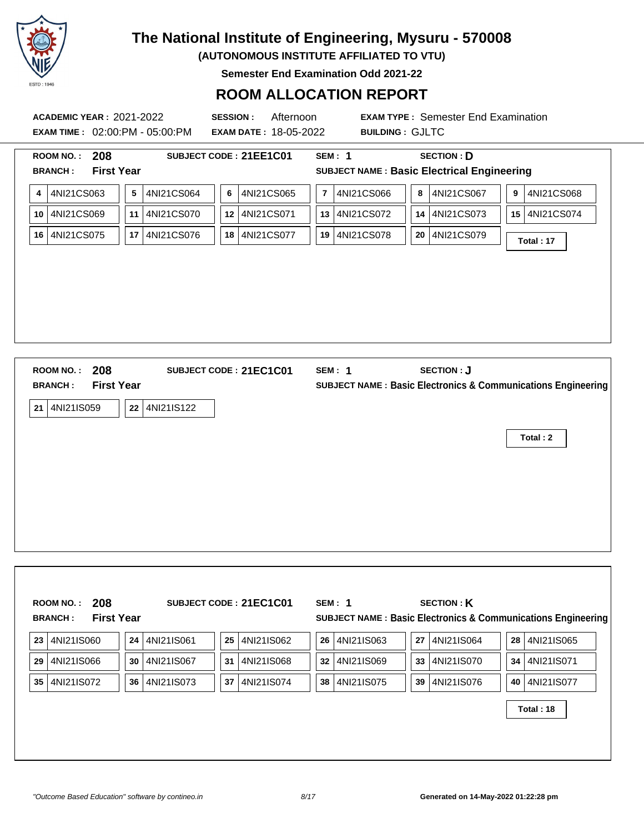

**(AUTONOMOUS INSTITUTE AFFILIATED TO VTU)**

**Semester End Examination Odd 2021-22**

### **ROOM ALLOCATION REPORT**

**ACADEMIC YEAR :** 2021-2022 **SESSION :** Afternoon **EXAM TYPE :** Semester End Examination **EXAM TIME :** 02:00:PM - 05:00:PM **EXAM DATE :** 18-05-2022 **BUILDING :** GJLTC

|    | 208<br><b>ROOM NO.:</b>             |           |               |    | SUBJECT CODE: 21EE1C01 |                         | <b>SEM: 1</b>                                                 |         | <b>SECTION: D</b> |   |               |  |
|----|-------------------------------------|-----------|---------------|----|------------------------|-------------------------|---------------------------------------------------------------|---------|-------------------|---|---------------|--|
|    | <b>First Year</b><br><b>BRANCH:</b> |           |               |    |                        |                         | <b>SUBJECT NAME: Basic Electrical Engineering</b>             |         |                   |   |               |  |
| 4  | 4NI21CS063                          | ${\bf 5}$ | 4NI21CS064    | 6  | 4NI21CS065             | $\overline{\mathbf{r}}$ | 4NI21CS066                                                    | $\bf 8$ | 4NI21CS067        | 9 | 4NI21CS068    |  |
| 10 | 4NI21CS069                          |           | 11 4NI21CS070 | 12 | 4NI21CS071             |                         | 13 4NI21CS072                                                 |         | 14 4NI21CS073     |   | 15 4NI21CS074 |  |
| 16 | 4NI21CS075                          |           | 17 4NI21CS076 | 18 | 4NI21CS077             |                         | 19 4NI21CS078                                                 |         | 20 4NI21CS079     |   | Total: 17     |  |
|    |                                     |           |               |    |                        |                         |                                                               |         |                   |   |               |  |
|    |                                     |           |               |    |                        |                         |                                                               |         |                   |   |               |  |
|    |                                     |           |               |    |                        |                         |                                                               |         |                   |   |               |  |
|    |                                     |           |               |    |                        |                         |                                                               |         |                   |   |               |  |
|    |                                     |           |               |    |                        |                         |                                                               |         |                   |   |               |  |
|    |                                     |           |               |    |                        |                         |                                                               |         |                   |   |               |  |
|    |                                     |           |               |    |                        |                         |                                                               |         |                   |   |               |  |
|    |                                     |           |               |    |                        |                         |                                                               |         |                   |   |               |  |
|    | 208<br><b>ROOM NO.:</b>             |           |               |    | SUBJECT CODE: 21EC1C01 |                         | <b>SEM: 1</b>                                                 |         | <b>SECTION: J</b> |   |               |  |
|    | <b>First Year</b><br><b>BRANCH:</b> |           |               |    |                        |                         | SUBJECT NAME : Basic Electronics & Communications Engineering |         |                   |   |               |  |
|    | 21 4NI21IS059                       |           | 22 4NI21IS122 |    |                        |                         |                                                               |         |                   |   |               |  |
|    |                                     |           |               |    |                        |                         |                                                               |         |                   |   |               |  |
|    |                                     |           |               |    |                        |                         |                                                               |         |                   |   | Total: 2      |  |
|    |                                     |           |               |    |                        |                         |                                                               |         |                   |   |               |  |
|    |                                     |           |               |    |                        |                         |                                                               |         |                   |   |               |  |
|    |                                     |           |               |    |                        |                         |                                                               |         |                   |   |               |  |
|    |                                     |           |               |    |                        |                         |                                                               |         |                   |   |               |  |
|    |                                     |           |               |    |                        |                         |                                                               |         |                   |   |               |  |

|    | <b>First Year</b><br><b>BRANCH:</b> |    |            |    |            |    | <b>SUBJECT NAME: Basic Electronics &amp; Communications Engineering</b> |    |             |      |               |
|----|-------------------------------------|----|------------|----|------------|----|-------------------------------------------------------------------------|----|-------------|------|---------------|
| 23 | 4NI21IS060                          | 24 | 4NI21IS061 | 25 | 4NI21IS062 | 26 | 4NI21IS063                                                              | 27 | 4NI21IS064  | 28   | 4NI21IS065    |
| 29 | 4NI21IS066                          | 30 | 4NI21IS067 | 31 | 4NI21IS068 | 32 | 4NI21IS069                                                              | 33 | 14NI21IS070 |      | 34 4NI21IS071 |
| 35 | 4NI21IS072                          | 36 | 4NI21IS073 | 37 | 4NI21IS074 | 38 | 4NI21IS075                                                              | 39 | 14NI21IS076 | 40 l | 4NI21IS077    |
|    |                                     |    |            |    |            |    |                                                                         |    |             |      | Total: 18     |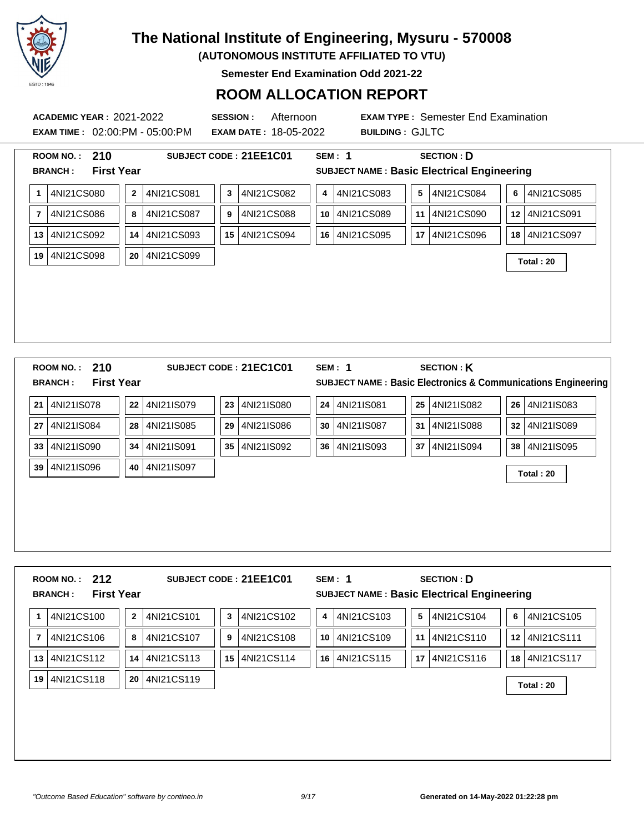

**(AUTONOMOUS INSTITUTE AFFILIATED TO VTU)**

**Semester End Examination Odd 2021-22**

### **ROOM ALLOCATION REPORT**

**EXAM TIME :** 02:00:PM - 05:00:PM **EXAM DATE :** 18-05-2022 **BUILDING :** GJLTC

**ACADEMIC YEAR :** 2021-2022 **SESSION :** Afternoon **EXAM TYPE :** Semester End Examination

| <b>First Year</b><br><b>SUBJECT NAME: Basic Electrical Engineering</b><br><b>BRANCH:</b><br>4NI21CS080<br>4NI21CS083<br>4NI21CS084<br>4NI21CS081<br>4NI21CS082<br>5<br>6<br>4NI21CS085<br>$\mathbf{2}$<br>3<br>$\mathbf{1}$<br>4<br>4NI21CS086<br>4NI21CS087<br>4NI21CS088<br>4NI21CS089<br>4NI21CS090<br>4NI21CS091<br>$\overline{7}$<br>8<br>11<br>9<br>10<br>12 <sub>2</sub><br>4NI21CS094<br>4NI21CS095<br>4NI21CS096<br>4NI21CS092<br>4NI21CS093<br>4NI21CS097<br>13<br>14<br>15<br>16<br>17<br>18<br>4NI21CS098<br>4NI21CS099<br>19<br>20<br>Total: 20<br>210<br><b>SECTION: K</b><br><b>SEM: 1</b><br><b>ROOM NO.:</b><br>SUBJECT CODE: 21EC1C01<br><b>First Year</b><br><b>BRANCH:</b><br>4NI21IS078<br>4NI21IS081<br>4NI21IS082<br>4NI21IS083<br>4NI21IS079<br>4NI21IS080<br>25<br>26<br>21<br>23<br>24<br>22<br>4NI21IS084<br>4NI21IS085<br>4NI21IS086<br>4NI21IS087<br>4NI21IS088<br>4NI21IS089<br>27<br>28<br>29<br>31<br>32<br>30<br>4NI21IS090<br>4NI21IS091<br>35<br>4NI21IS092<br>4NI21IS093<br>4NI21IS094<br>4NI21IS095<br>33<br>34<br>36<br>37<br>38 |                                                               |  |  |  |  |  |
|------------------------------------------------------------------------------------------------------------------------------------------------------------------------------------------------------------------------------------------------------------------------------------------------------------------------------------------------------------------------------------------------------------------------------------------------------------------------------------------------------------------------------------------------------------------------------------------------------------------------------------------------------------------------------------------------------------------------------------------------------------------------------------------------------------------------------------------------------------------------------------------------------------------------------------------------------------------------------------------------------------------------------------------------------------------------|---------------------------------------------------------------|--|--|--|--|--|
|                                                                                                                                                                                                                                                                                                                                                                                                                                                                                                                                                                                                                                                                                                                                                                                                                                                                                                                                                                                                                                                                        |                                                               |  |  |  |  |  |
|                                                                                                                                                                                                                                                                                                                                                                                                                                                                                                                                                                                                                                                                                                                                                                                                                                                                                                                                                                                                                                                                        |                                                               |  |  |  |  |  |
|                                                                                                                                                                                                                                                                                                                                                                                                                                                                                                                                                                                                                                                                                                                                                                                                                                                                                                                                                                                                                                                                        |                                                               |  |  |  |  |  |
|                                                                                                                                                                                                                                                                                                                                                                                                                                                                                                                                                                                                                                                                                                                                                                                                                                                                                                                                                                                                                                                                        |                                                               |  |  |  |  |  |
|                                                                                                                                                                                                                                                                                                                                                                                                                                                                                                                                                                                                                                                                                                                                                                                                                                                                                                                                                                                                                                                                        |                                                               |  |  |  |  |  |
|                                                                                                                                                                                                                                                                                                                                                                                                                                                                                                                                                                                                                                                                                                                                                                                                                                                                                                                                                                                                                                                                        |                                                               |  |  |  |  |  |
|                                                                                                                                                                                                                                                                                                                                                                                                                                                                                                                                                                                                                                                                                                                                                                                                                                                                                                                                                                                                                                                                        |                                                               |  |  |  |  |  |
|                                                                                                                                                                                                                                                                                                                                                                                                                                                                                                                                                                                                                                                                                                                                                                                                                                                                                                                                                                                                                                                                        |                                                               |  |  |  |  |  |
|                                                                                                                                                                                                                                                                                                                                                                                                                                                                                                                                                                                                                                                                                                                                                                                                                                                                                                                                                                                                                                                                        |                                                               |  |  |  |  |  |
|                                                                                                                                                                                                                                                                                                                                                                                                                                                                                                                                                                                                                                                                                                                                                                                                                                                                                                                                                                                                                                                                        |                                                               |  |  |  |  |  |
|                                                                                                                                                                                                                                                                                                                                                                                                                                                                                                                                                                                                                                                                                                                                                                                                                                                                                                                                                                                                                                                                        |                                                               |  |  |  |  |  |
|                                                                                                                                                                                                                                                                                                                                                                                                                                                                                                                                                                                                                                                                                                                                                                                                                                                                                                                                                                                                                                                                        | SUBJECT NAME : Basic Electronics & Communications Engineering |  |  |  |  |  |
|                                                                                                                                                                                                                                                                                                                                                                                                                                                                                                                                                                                                                                                                                                                                                                                                                                                                                                                                                                                                                                                                        |                                                               |  |  |  |  |  |
|                                                                                                                                                                                                                                                                                                                                                                                                                                                                                                                                                                                                                                                                                                                                                                                                                                                                                                                                                                                                                                                                        |                                                               |  |  |  |  |  |
|                                                                                                                                                                                                                                                                                                                                                                                                                                                                                                                                                                                                                                                                                                                                                                                                                                                                                                                                                                                                                                                                        |                                                               |  |  |  |  |  |
| 4NI21IS096<br>4NI21IS097<br>39<br>40<br>Total: 20                                                                                                                                                                                                                                                                                                                                                                                                                                                                                                                                                                                                                                                                                                                                                                                                                                                                                                                                                                                                                      |                                                               |  |  |  |  |  |
|                                                                                                                                                                                                                                                                                                                                                                                                                                                                                                                                                                                                                                                                                                                                                                                                                                                                                                                                                                                                                                                                        |                                                               |  |  |  |  |  |
|                                                                                                                                                                                                                                                                                                                                                                                                                                                                                                                                                                                                                                                                                                                                                                                                                                                                                                                                                                                                                                                                        |                                                               |  |  |  |  |  |
|                                                                                                                                                                                                                                                                                                                                                                                                                                                                                                                                                                                                                                                                                                                                                                                                                                                                                                                                                                                                                                                                        |                                                               |  |  |  |  |  |
|                                                                                                                                                                                                                                                                                                                                                                                                                                                                                                                                                                                                                                                                                                                                                                                                                                                                                                                                                                                                                                                                        |                                                               |  |  |  |  |  |
|                                                                                                                                                                                                                                                                                                                                                                                                                                                                                                                                                                                                                                                                                                                                                                                                                                                                                                                                                                                                                                                                        |                                                               |  |  |  |  |  |
| 212<br>SUBJECT CODE: 21EE1C01<br><b>SEM: 1</b><br><b>SECTION: D</b><br><b>ROOM NO.:</b>                                                                                                                                                                                                                                                                                                                                                                                                                                                                                                                                                                                                                                                                                                                                                                                                                                                                                                                                                                                |                                                               |  |  |  |  |  |
| <b>SUBJECT NAME: Basic Electrical Engineering</b><br><b>BRANCH:</b><br><b>First Year</b>                                                                                                                                                                                                                                                                                                                                                                                                                                                                                                                                                                                                                                                                                                                                                                                                                                                                                                                                                                               |                                                               |  |  |  |  |  |
|                                                                                                                                                                                                                                                                                                                                                                                                                                                                                                                                                                                                                                                                                                                                                                                                                                                                                                                                                                                                                                                                        |                                                               |  |  |  |  |  |

**7** 4NI21CS106 **8** 4NI21CS107 **9** 4NI21CS108 **10** 4NI21CS109 **11** 4NI21CS110 **12** 4NI21CS111 **13** 4NI21CS112 **14** 4NI21CS113 **15** 4NI21CS114 **16** 4NI21CS115 **17** 4NI21CS116 **18** 4NI21CS117 **<sup>19</sup>** 4NI21CS118 **<sup>20</sup>** 4NI21CS119 **Total : 20**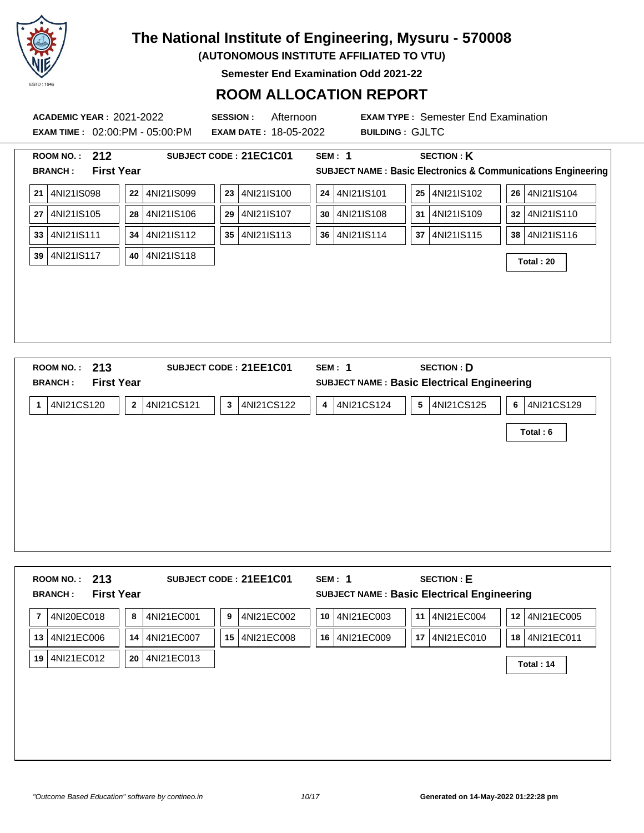

**(AUTONOMOUS INSTITUTE AFFILIATED TO VTU)**

**Semester End Examination Odd 2021-22**

### **ROOM ALLOCATION REPORT**

**ACADEMIC YEAR :** 2021-2022 **SESSION :** Afternoon **EXAM TYPE :** Semester End Examination **EXAM TIME :** 02:00:PM - 05:00:PM **EXAM DATE :** 18-05-2022 **BUILDING :** GJLTC **ROOM NO. : 212 SUBJECT CODE : 21EC1C01 SEM : 1 SECTION : K BRANCH : First Year SUBJECT NAME : Basic Electronics & Communications Engineering 21** 4NI21IS098 **22** 4NI21IS099 **23** 4NI21IS100 **24** 4NI21IS101 **25** 4NI21IS102 **26** 4NI21IS104 **27** 4NI21IS105 **28** 4NI21IS106 **29** 4NI21IS107 **30** 4NI21IS108 **31** 4NI21IS109 **32** 4NI21IS110 **33** 4NI21IS111 **34** 4NI21IS112 **35** 4NI21IS113 **36** 4NI21IS114 **37** 4NI21IS115 **38** 4NI21IS116 **<sup>39</sup>** 4NI21IS117 **<sup>40</sup>** 4NI21IS118 **Total : 20 ROOM NO. : 213 SUBJECT CODE : 21EE1C01 SEM : 1 SECTION : D BRANCH : First Year SUBJECT NAME : Basic Electrical Engineering 1** 4NI21CS120 **2** 4NI21CS121 **3** 4NI21CS122 **4** 4NI21CS124 **5** 4NI21CS125 **6** 4NI21CS129

|  |                     |  |  |        |  |                                                         | Total: 6 |  |
|--|---------------------|--|--|--------|--|---------------------------------------------------------|----------|--|
|  |                     |  |  |        |  |                                                         |          |  |
|  |                     |  |  |        |  |                                                         |          |  |
|  |                     |  |  |        |  |                                                         |          |  |
|  |                     |  |  |        |  |                                                         |          |  |
|  |                     |  |  |        |  |                                                         |          |  |
|  | $S = S + S + S + S$ |  |  | ------ |  | $\sim$ $\sim$ $\sim$ $\sim$ $\sim$ $\sim$ $\sim$ $\sim$ |          |  |

| 213<br><b>ROOM NO.:</b><br><b>First Year</b><br><b>BRANCH:</b> | SUBJECT CODE: 21EE1C01               | <b>SECTION: E</b><br>SEM: 1<br>SUBJECT NAME : Basic Electrical Engineering |                  |
|----------------------------------------------------------------|--------------------------------------|----------------------------------------------------------------------------|------------------|
| 4NI20EC018<br>7                                                | 4NI21EC001<br>4NI21EC002<br>8<br>9   | 4NI21EC003<br>4NI21EC004<br>10 <sup>°</sup><br>11                          | 4NI21EC005<br>12 |
| 4NI21EC006<br>13                                               | 4NI21EC008<br>4NI21EC007<br>15<br>14 | 4NI21EC009<br>4NI21EC010<br>16<br>17 <sup>1</sup>                          | 4NI21EC011<br>18 |
| 4NI21EC012<br>19                                               | 4NI21EC013<br>20                     |                                                                            | Total: 14        |
|                                                                |                                      |                                                                            |                  |
|                                                                |                                      |                                                                            |                  |
|                                                                |                                      |                                                                            |                  |
|                                                                |                                      |                                                                            |                  |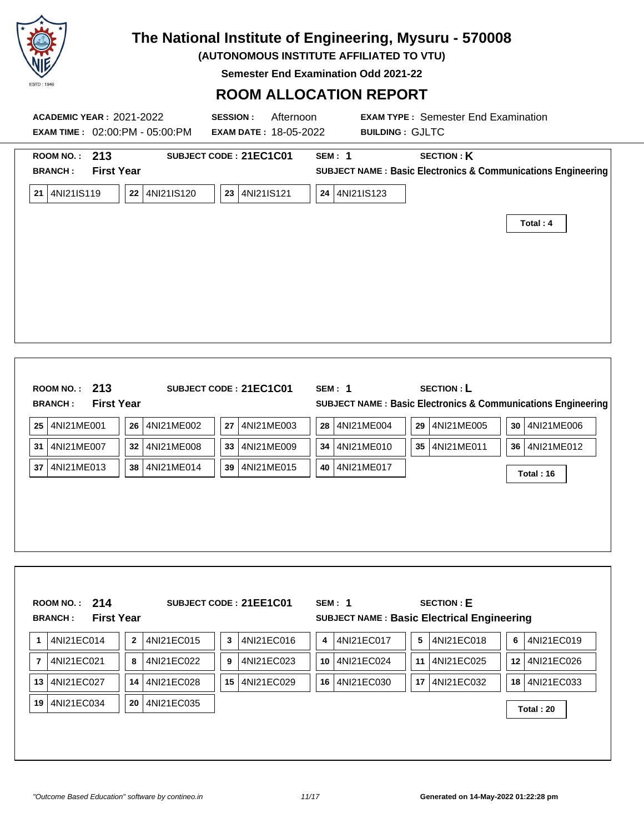

**(AUTONOMOUS INSTITUTE AFFILIATED TO VTU)**

**Semester End Examination Odd 2021-22**

| ROOM NO.: 213<br><b>BRANCH:</b> | <b>First Year</b> |                                | SUBJECT CODE: 21EC1C01 | <b>SEM: 1</b>    |                 | <b>SECTION: K</b>                           | SUBJECT NAME : Basic Electronics & Communications Engineering           |
|---------------------------------|-------------------|--------------------------------|------------------------|------------------|-----------------|---------------------------------------------|-------------------------------------------------------------------------|
| 21 4NI21IS119                   |                   | 22 4NI21IS120                  | 23 4NI21IS121          |                  | 24 4NI21IS123   |                                             |                                                                         |
|                                 |                   |                                |                        |                  |                 |                                             | Total: 4                                                                |
|                                 |                   |                                |                        |                  |                 |                                             |                                                                         |
|                                 |                   |                                |                        |                  |                 |                                             |                                                                         |
|                                 |                   |                                |                        |                  |                 |                                             |                                                                         |
|                                 |                   |                                |                        |                  |                 |                                             |                                                                         |
|                                 |                   |                                |                        |                  |                 |                                             |                                                                         |
|                                 |                   |                                |                        |                  |                 |                                             |                                                                         |
| ROOM NO.: 213<br><b>BRANCH:</b> | <b>First Year</b> |                                | SUBJECT CODE: 21EC1C01 |                  | <b>SEM: 1</b>   | <b>SECTION: L</b>                           | <b>SUBJECT NAME: Basic Electronics &amp; Communications Engineering</b> |
| 4NI21ME001<br>25                |                   | 26<br>4NI21ME002               | 27                     | 4NI21ME003<br>28 | 4NI21ME004      | 29 4NI21ME005                               | 30 4NI21ME006                                                           |
| 4NI21ME007<br>31                |                   | 4NI21ME008<br>32               | 33                     | 4NI21ME009<br>34 | 4NI21ME010      | 35   4NI21ME011                             | 36   4NI21ME012                                                         |
| 4NI21ME013<br>37                |                   | 38<br>4NI21ME014               | 39                     | 4NI21ME015       | 40   4NI21ME017 |                                             | Total: 16                                                               |
|                                 |                   |                                |                        |                  |                 |                                             |                                                                         |
|                                 |                   |                                |                        |                  |                 |                                             |                                                                         |
|                                 |                   |                                |                        |                  |                 |                                             |                                                                         |
|                                 |                   |                                |                        |                  |                 |                                             |                                                                         |
|                                 |                   |                                |                        |                  |                 |                                             |                                                                         |
| ROOM NO.: $214$                 |                   |                                | SUBJECT CODE: 21EE1C01 |                  | <b>SEM: 1</b>   | <b>SECTION: E</b>                           |                                                                         |
| <b>BRANCH:</b>                  | <b>First Year</b> |                                |                        |                  |                 | SUBJECT NAME : Basic Electrical Engineering |                                                                         |
| 4NI21EC014<br>1                 |                   | 4NI21EC015<br>$\boldsymbol{2}$ | $\mathbf 3$            | 4NI21EC016<br>4  | 4NI21EC017      | 4NI21EC018<br>5                             | 4NI21EC019<br>6                                                         |
| 4NI21EC021<br>7                 |                   | 4NI21EC022<br>8                | 9                      | 4NI21EC023<br>10 | 4NI21EC024      | 11 4NI21EC025                               | 12 4NI21EC026                                                           |
|                                 |                   | 4NI21EC028<br>14               | 15                     | 4NI21EC029       | 16 4NI21EC030   | 4NI21EC032<br>17 <sub>2</sub>               | 18 4NI21EC033                                                           |
| 4NI21EC027<br>13                |                   |                                |                        |                  |                 |                                             |                                                                         |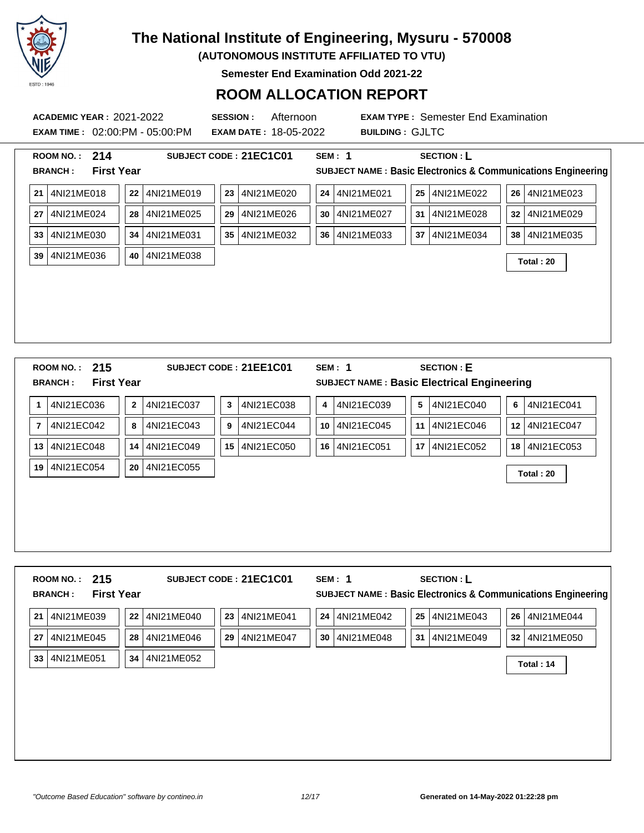

**(AUTONOMOUS INSTITUTE AFFILIATED TO VTU)**

**Semester End Examination Odd 2021-22**

### **ROOM ALLOCATION REPORT**

| <b>ACADEMIC YEAR: 2021-2022</b><br><b>EXAM TIME: 02:00:PM - 05:00:PM</b> | <b>SESSION:</b><br>Afternoon<br><b>EXAM DATE: 18-05-2022</b> |                  | <b>EXAM TYPE: Semester End Examination</b><br><b>BUILDING: GJLTC</b> |                                                                         |
|--------------------------------------------------------------------------|--------------------------------------------------------------|------------------|----------------------------------------------------------------------|-------------------------------------------------------------------------|
| ROOM NO.: 214                                                            | SUBJECT CODE: 21EC1C01                                       | <b>SEM: 1</b>    | <b>SECTION: L</b>                                                    |                                                                         |
| <b>BRANCH:</b><br><b>First Year</b>                                      |                                                              |                  |                                                                      | <b>SUBJECT NAME: Basic Electronics &amp; Communications Engineering</b> |
| 4NI21ME018<br>4NI21ME019<br>22<br>21                                     | 4NI21ME020<br>23                                             | 4NI21ME021<br>24 | 4NI21ME022<br>25                                                     | 26 4NI21ME023                                                           |
| 4NI21ME024<br>4NI21ME025<br>28<br>27                                     | 4NI21ME026<br>29                                             | 4NI21ME027<br>30 | 31<br>4NI21ME028                                                     | 32 4NI21ME029                                                           |
| 4NI21ME030<br>34<br>4NI21ME031<br>33 <sup>1</sup>                        | 4NI21ME032<br>35 <sup>1</sup>                                | 4NI21ME033<br>36 | 37<br>4NI21ME034                                                     | 38   4NI21ME035                                                         |
| 4NI21ME036<br>40<br>4NI21ME038<br>39                                     |                                                              |                  |                                                                      | Total: 20                                                               |
|                                                                          |                                                              |                  |                                                                      |                                                                         |
|                                                                          |                                                              |                  |                                                                      |                                                                         |
|                                                                          |                                                              |                  |                                                                      |                                                                         |
|                                                                          |                                                              |                  |                                                                      |                                                                         |
|                                                                          |                                                              |                  |                                                                      |                                                                         |
| ROOM NO.: 215                                                            | SUBJECT CODE: 21EE1C01                                       | SEM: 1           | <b>SECTION: E</b>                                                    |                                                                         |
| <b>First Year</b><br><b>BRANCH:</b>                                      |                                                              |                  | SUBJECT NAME : Basic Electrical Engineering                          |                                                                         |
| 4NI21EC037<br>4NI21EC036<br>$\bf{2}$<br>1                                | $\mathbf 3$<br>4NI21EC038                                    | 4NI21EC039<br>4  | 4NI21EC040<br>5                                                      | 4NI21EC041<br>6                                                         |
| 4NI21EC042<br>8<br>4NI21EC043<br>$\overline{\mathbf{r}}$                 | 4NI21EC044<br>9                                              | 4NI21EC045<br>10 | 11<br>4NI21EC046                                                     | 12 4NI21EC047                                                           |
| 13 4NI21EC048<br>4NI21EC049<br>14                                        | 15<br>4NI21EC050                                             | 16 4NI21EC051    | 17 4NI21EC052                                                        | 18 4NI21EC053                                                           |
| 4NI21EC054<br>20<br>4NI21EC055<br>19                                     |                                                              |                  |                                                                      | Total: 20                                                               |
|                                                                          |                                                              |                  |                                                                      |                                                                         |
|                                                                          |                                                              |                  |                                                                      |                                                                         |
|                                                                          |                                                              |                  |                                                                      |                                                                         |
|                                                                          |                                                              |                  |                                                                      |                                                                         |

**21** 4NI21ME039 **22** 4NI21ME040 **23** 4NI21ME041 **24** 4NI21ME042 **25** 4NI21ME043 **26** 4NI21ME044 **27** 4NI21ME045 **28** 4NI21ME046 **29** 4NI21ME047 **30** 4NI21ME048 **31** 4NI21ME049 **32** 4NI21ME050 **<sup>33</sup>** 4NI21ME051 **<sup>34</sup>** 4NI21ME052 **Total : 14**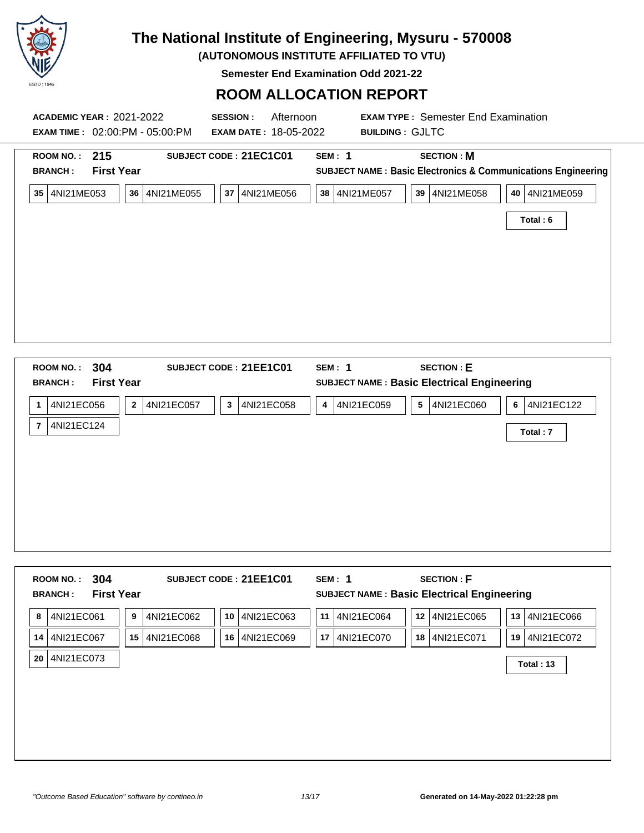

**(AUTONOMOUS INSTITUTE AFFILIATED TO VTU)**

**Semester End Examination Odd 2021-22**

| <b>ACADEMIC YEAR: 2021-2022</b><br><b>EXAM TIME: 02:00:PM - 05:00:PM</b> | <b>SESSION:</b><br>Afternoon<br><b>EXAM DATE: 18-05-2022</b> | <b>BUILDING: GJLTC</b> | <b>EXAM TYPE: Semester End Examination</b>                              |                                                                         |
|--------------------------------------------------------------------------|--------------------------------------------------------------|------------------------|-------------------------------------------------------------------------|-------------------------------------------------------------------------|
| ROOM NO.:<br>215<br><b>First Year</b><br><b>BRANCH:</b>                  | SUBJECT CODE: 21EC1C01                                       | SEM: 1                 | <b>SECTION: M</b>                                                       | <b>SUBJECT NAME: Basic Electronics &amp; Communications Engineering</b> |
| 35<br>4NI21ME053<br>4NI21ME055<br>36                                     | 4NI21ME056<br>37                                             | 4NI21ME057<br>38       | 39   4NI21ME058                                                         | 4NI21ME059<br>40 l<br>Total: 6                                          |
|                                                                          |                                                              |                        |                                                                         |                                                                         |
|                                                                          |                                                              |                        |                                                                         |                                                                         |
|                                                                          |                                                              |                        |                                                                         |                                                                         |
| 304<br>ROOM NO.:<br><b>First Year</b><br><b>RRANCH</b>                   | SUBJECT CODE: 21EE1C01                                       | SEM: 1                 | <b>SECTION: E</b><br><b>SUBJECT NAME · Basic Electrical Engineering</b> |                                                                         |

| <b>First Year</b><br><b>BRANCH:</b> |                              |                            |                 | <b>SUBJECT NAME: Basic Electrical Engineering</b> |                 |
|-------------------------------------|------------------------------|----------------------------|-----------------|---------------------------------------------------|-----------------|
| 4NI21EC056<br>1                     | 4NI21EC057<br>$\overline{2}$ | 4NI21EC058<br>$\mathbf{3}$ | 4NI21EC059<br>4 | 4NI21EC060<br>5                                   | 4NI21EC122<br>6 |
| 4NI21EC124<br>$\overline{7}$        |                              |                            |                 |                                                   | Total: 7        |
|                                     |                              |                            |                 |                                                   |                 |
|                                     |                              |                            |                 |                                                   |                 |
|                                     |                              |                            |                 |                                                   |                 |
|                                     |                              |                            |                 |                                                   |                 |

| 4NI21EC061<br>4NI21EC062<br>4NI21EC063<br>4NI21EC064<br>4NI21EC065<br>11<br>12<br>8<br>9<br>10<br>13 <sup>1</sup>   | 4NI21EC066 |
|---------------------------------------------------------------------------------------------------------------------|------------|
|                                                                                                                     |            |
| 4NI21EC067<br>4NI21EC070<br>4NI21EC071<br>15<br>4NI21EC068<br>4NI21EC069<br>17<br>19 <sup>1</sup><br>16<br>18<br>14 | 4NI21EC072 |
| 4NI21EC073<br>20<br>Total: 13                                                                                       |            |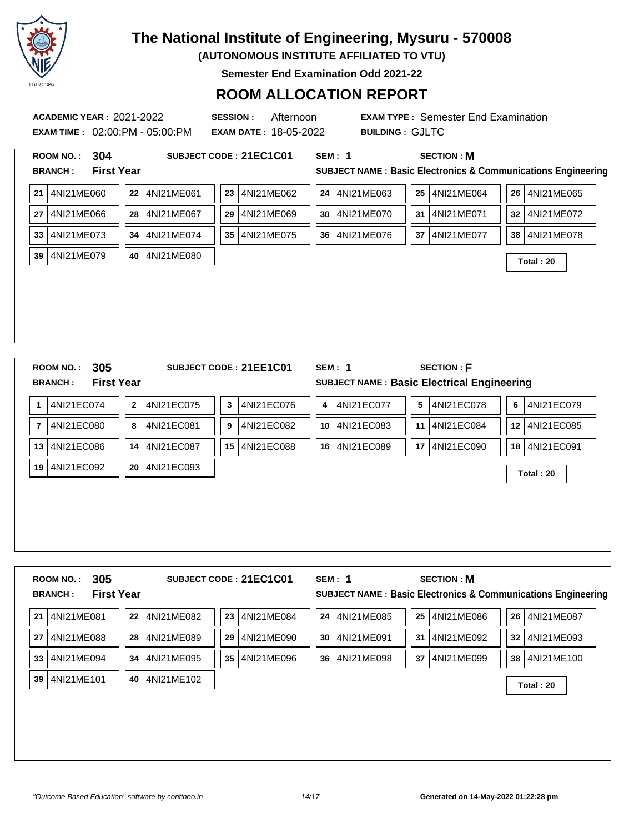

**(AUTONOMOUS INSTITUTE AFFILIATED TO VTU)**

**Semester End Examination Odd 2021-22**

### **ROOM ALLOCATION REPORT**

**ACADEMIC YEAR :** 2021-2022 **SESSION :** Afternoon **EXAM TYPE :** Semester End Examination **EXAM TIME :** 02:00:PM - 05:00:PM **EXAM DATE :** 18-05-2022 **BUILDING :** GJLTC **ROOM NO. : 304 SUBJECT CODE : 21EC1C01 SEM : 1 SECTION : M BRANCH : First Year SUBJECT NAME : Basic Electronics & Communications Engineering 21** 4NI21ME060 **22** 4NI21ME061 **23** 4NI21ME062 **24** 4NI21ME063 **25** 4NI21ME064 **26** 4NI21ME065 **27** 4NI21ME066 **28** 4NI21ME067 **29** 4NI21ME069 **30** 4NI21ME070 **31** 4NI21ME071 **32** 4NI21ME072 **33** 4NI21ME073 **34** 4NI21ME074 **35** 4NI21ME075 **36** 4NI21ME076 **37** 4NI21ME077 **38** 4NI21ME078 **<sup>39</sup>** 4NI21ME079 **<sup>40</sup>** 4NI21ME080 **Total : 20 ROOM NO. : 305 SUBJECT CODE : 21EE1C01 SEM : 1 SECTION : F BRANCH : First Year SUBJECT NAME : Basic Electrical Engineering 1** 4NI21EC074 **2** 4NI21EC075 **3** 4NI21EC076 **4** 4NI21EC077 **5** 4NI21EC078 **6** 4NI21EC079 **7** 4NI21EC080 **8** 4NI21EC081 **9** 4NI21EC082 **10** 4NI21EC083 **11** 4NI21EC084 **12** 4NI21EC085 **13** 4NI21EC086 **14** 4NI21EC087 **15** 4NI21EC088 **16** 4NI21EC089 **17** 4NI21EC090 **18** 4NI21EC091 **<sup>19</sup>** 4NI21EC092 **<sup>20</sup>** 4NI21EC093 **Total : 20**

| 305<br><b>ROOM NO.:</b><br><b>First Year</b><br><b>BRANCH:</b> |                  | SUBJECT CODE: 21EC1C01 | SEM: 1           | <b>SECTION: M</b> | SUBJECT NAME : Basic Electronics & Communications Engineering |
|----------------------------------------------------------------|------------------|------------------------|------------------|-------------------|---------------------------------------------------------------|
| 4NI21ME081<br>21                                               | 22<br>4NI21ME082 | 23<br>4NI21ME084       | 24<br>4NI21ME085 | 25<br>4NI21ME086  | 26<br>4NI21ME087                                              |
| 4NI21ME088<br>27                                               | 4NI21ME089<br>28 | 29<br>4NI21ME090       | 30<br>4NI21ME091 | 31<br>4NI21ME092  | 32<br>4NI21ME093                                              |
| 4NI21ME094<br>33                                               | 4NI21ME095<br>34 | 35<br>4NI21ME096       | 4NI21ME098<br>36 | 37<br>4NI21ME099  | 38<br>4NI21ME100                                              |
| 4NI21ME101<br>39                                               | 4NI21ME102<br>40 |                        |                  |                   | Total: 20                                                     |
|                                                                |                  |                        |                  |                   |                                                               |
|                                                                |                  |                        |                  |                   |                                                               |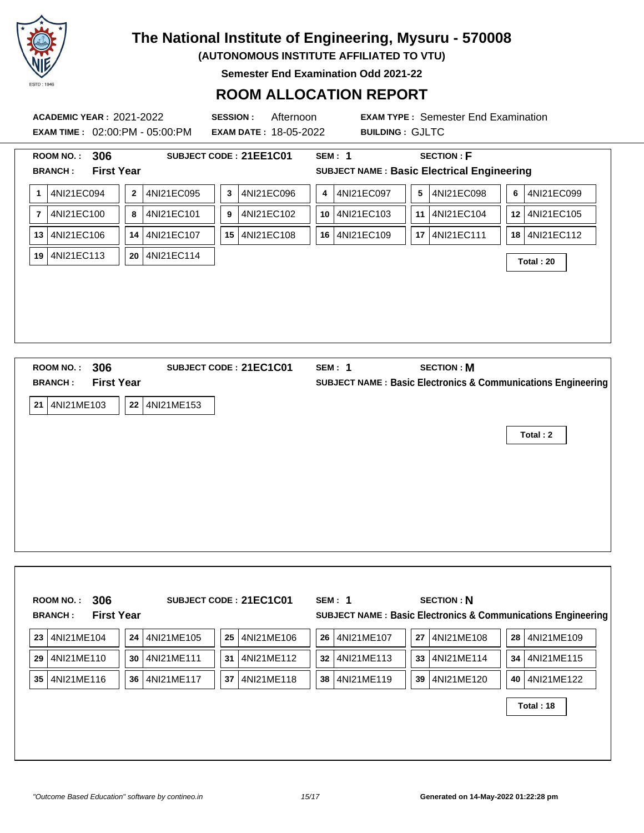

**(AUTONOMOUS INSTITUTE AFFILIATED TO VTU)**

**Semester End Examination Odd 2021-22**

### **ROOM ALLOCATION REPORT**

**ACADEMIC YEAR :** 2021-2022 **SESSION :** Afternoon **EXAM TYPE :** Semester End Examination **EXAM TIME :** 02:00:PM - 05:00:PM **EXAM DATE :** 18-05-2022 **BUILDING :** GJLTC **ROOM NO. : 306 SUBJECT CODE : 21EE1C01 SEM : 1 SECTION : F BRANCH : First Year SUBJECT NAME : Basic Electrical Engineering 1** 4NI21EC094 **2** 4NI21EC095 **3** 4NI21EC096 **4** 4NI21EC097 **5** 4NI21EC098 **6** 4NI21EC099 **7** 4NI21EC100 **8** 4NI21EC101 **9** 4NI21EC102 **10** 4NI21EC103 **11** 4NI21EC104 **12** 4NI21EC105 **13** 4NI21EC106 **14** 4NI21EC107 **15** 4NI21EC108 **16** 4NI21EC109 **17** 4NI21EC111 **18** 4NI21EC112 **<sup>19</sup>** 4NI21EC113 **<sup>20</sup>** 4NI21EC114 **Total : 20 ROOM NO. : 306 SUBJECT CODE : 21EC1C01 SEM : 1 SECTION : M BRANCH : First Year SUBJECT NAME : Basic Electronics & Communications Engineering 21** 4NI21ME103 **22** 4NI21ME153 **Total : 2**

|    | 306<br><b>ROOM NO.:</b><br><b>First Year</b><br><b>BRANCH:</b> |    |            |    | SUBJECT CODE: 21EC1C01 | SEM: 1        |                 | <b>SECTION: N</b> |                 | <b>SUBJECT NAME: Basic Electronics &amp; Communications Engineering</b> |
|----|----------------------------------------------------------------|----|------------|----|------------------------|---------------|-----------------|-------------------|-----------------|-------------------------------------------------------------------------|
| 23 | 4NI21ME104                                                     | 24 | 4NI21ME105 | 25 | 14NI21ME106            | 26 4NI21ME107 | <b>27</b> l     | 4NI21ME108        | 28 <sup>1</sup> | 4NI21ME109                                                              |
| 29 | 4NI21ME110                                                     | 30 | 4NI21ME111 | 31 | 4NI21ME112             | 32 4NI21ME113 | 33 <sup>1</sup> | 4NI21ME114        |                 | 34 4NI21ME115                                                           |
| 35 | 4NI21ME116                                                     | 36 | 4NI21ME117 | 37 | 4NI21ME118             | 38 4NI21ME119 | 39 l            | 4NI21ME120        | 40 l            | 4NI21ME122                                                              |
|    |                                                                |    |            |    |                        |               |                 |                   |                 | Total: 18                                                               |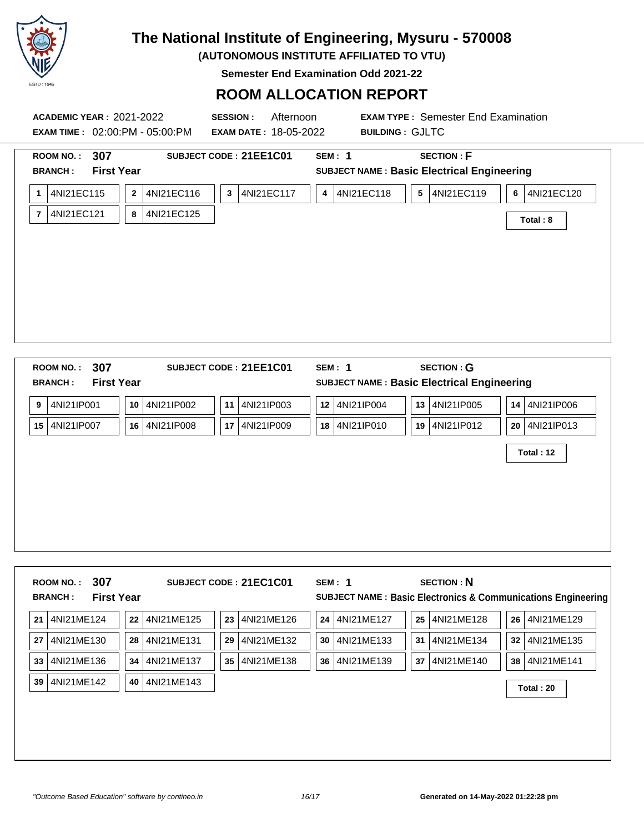

**(AUTONOMOUS INSTITUTE AFFILIATED TO VTU)**

**Semester End Examination Odd 2021-22**

| <b>ACADEMIC YEAR: 2021-2022</b><br><b>EXAM TIME : 02:00:PM - 05:00:PM</b>                                         |                                                   | Afternoon<br><b>SESSION:</b><br><b>EXAM DATE: 18-05-2022</b> |                                                        | <b>EXAM TYPE: Semester End Examination</b><br><b>BUILDING: GJLTC</b>                   |                                                  |
|-------------------------------------------------------------------------------------------------------------------|---------------------------------------------------|--------------------------------------------------------------|--------------------------------------------------------|----------------------------------------------------------------------------------------|--------------------------------------------------|
| 307<br><b>ROOM NO.:</b><br><b>First Year</b><br><b>BRANCH:</b><br>4NI21EC115<br>1<br>4NI21EC121<br>$\overline{7}$ | 4NI21EC116<br>$\boldsymbol{2}$<br>4NI21EC125<br>8 | SUBJECT CODE: 21EE1C01<br>4NI21EC117<br>$\mathbf{3}$         | <b>SEM: 1</b><br>4NI21EC118<br>$\overline{\mathbf{4}}$ | <b>SECTION: F</b><br><b>SUBJECT NAME: Basic Electrical Engineering</b><br>5 4NI21EC119 | 4NI21EC120<br>6<br>Total: 8                      |
| 307<br><b>ROOM NO.:</b>                                                                                           |                                                   | SUBJECT CODE: 21EE1C01                                       | <b>SEM: 1</b>                                          | <b>SECTION: G</b>                                                                      |                                                  |
| <b>First Year</b><br><b>BRANCH:</b><br>4NI21IP001<br>9<br>15 4NI21IP007                                           | 10<br>4NI21IP002<br>4NI21IP008<br>16              | 4NI21IP003<br>11<br>17 4NI21IP009                            | 12 4NI21IP004<br>18 4NI21IP010                         | SUBJECT NAME : Basic Electrical Engineering<br>13 4NI21IP005<br>19 4NI21IP012          | 4NI21IP006<br>14<br>20   4NI21IP013<br>Total: 12 |

|    | ROOM NO.:      | 307               |            | SUBJECT CODE: 21EC1C01 | SEM: 1                                                        | <b>SECTION: N</b> |                  |  |
|----|----------------|-------------------|------------|------------------------|---------------------------------------------------------------|-------------------|------------------|--|
|    | <b>BRANCH:</b> | <b>First Year</b> |            |                        | SUBJECT NAME : Basic Electronics & Communications Engineering |                   |                  |  |
| 21 | 4NI21ME124     | 22                | 4NI21ME125 | 4NI21ME126<br>23       | 4NI21ME127<br>24                                              | 4NI21ME128<br>25  | 4NI21ME129<br>26 |  |
| 27 | 4NI21ME130     | 28                | 4NI21ME131 | 29<br>4NI21ME132       | 30<br>4NI21ME133                                              | 31<br>4NI21ME134  | 32<br>4NI21ME135 |  |
| 33 | 4NI21ME136     | 34                | 4NI21ME137 | 35<br>4NI21ME138       | 36<br>4NI21ME139                                              | 37<br>4NI21ME140  | 38<br>4NI21ME141 |  |
| 39 | 4NI21ME142     | 40                | 4NI21ME143 |                        |                                                               |                   | Total: 20        |  |
|    |                |                   |            |                        |                                                               |                   |                  |  |
|    |                |                   |            |                        |                                                               |                   |                  |  |
|    |                |                   |            |                        |                                                               |                   |                  |  |